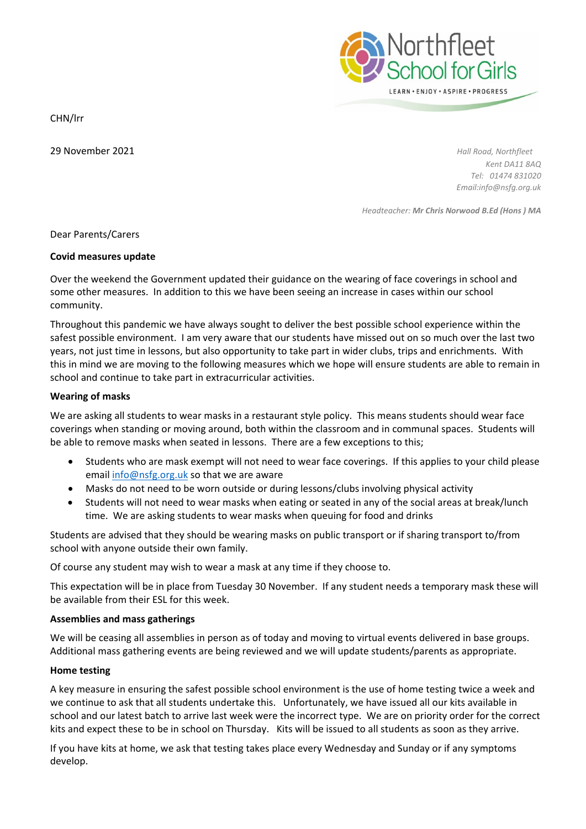

CHN/lrr

29 November 2021 *Hall Road, Northfleet*

*Kent DA11 8AQ Tel: 01474 831020 Email:info@nsfg.org.uk*

*Headteacher: Mr Chris Norwood B.Ed (Hons ) MA*

Dear Parents/Carers

# **Covid measures update**

Over the weekend the Government updated their guidance on the wearing of face coverings in school and some other measures. In addition to this we have been seeing an increase in cases within our school community.

Throughout this pandemic we have always sought to deliver the best possible school experience within the safest possible environment. I am very aware that our students have missed out on so much over the last two years, not just time in lessons, but also opportunity to take part in wider clubs, trips and enrichments. With this in mind we are moving to the following measures which we hope will ensure students are able to remain in school and continue to take part in extracurricular activities.

# **Wearing of masks**

We are asking all students to wear masks in a restaurant style policy. This means students should wear face coverings when standing or moving around, both within the classroom and in communal spaces. Students will be able to remove masks when seated in lessons. There are a few exceptions to this;

- Students who are mask exempt will not need to wear face coverings. If this applies to your child please email [info@nsfg.org.uk](mailto:info@nsfg.org.uk) so that we are aware
- Masks do not need to be worn outside or during lessons/clubs involving physical activity
- Students will not need to wear masks when eating or seated in any of the social areas at break/lunch time. We are asking students to wear masks when queuing for food and drinks

Students are advised that they should be wearing masks on public transport or if sharing transport to/from school with anyone outside their own family.

Of course any student may wish to wear a mask at any time if they choose to.

This expectation will be in place from Tuesday 30 November. If any student needs a temporary mask these will be available from their ESL for this week.

# **Assemblies and mass gatherings**

We will be ceasing all assemblies in person as of today and moving to virtual events delivered in base groups. Additional mass gathering events are being reviewed and we will update students/parents as appropriate.

# **Home testing**

A key measure in ensuring the safest possible school environment is the use of home testing twice a week and we continue to ask that all students undertake this. Unfortunately, we have issued all our kits available in school and our latest batch to arrive last week were the incorrect type. We are on priority order for the correct kits and expect these to be in school on Thursday. Kits will be issued to all students as soon as they arrive.

If you have kits at home, we ask that testing takes place every Wednesday and Sunday or if any symptoms develop.